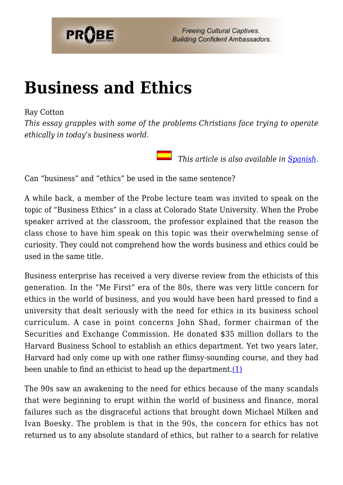

# **[Business and Ethics](https://probe.org/business-and-ethics/)**

#### Ray Cotton

*This essay grapples with some of the problems Christians face trying to operate ethically in today's business world.*

 *This article is also available in [Spanish.](https://www.ministeriosprobe.org/docs/los_negocios.html)*

Can "business" and "ethics" be used in the same sentence?

A while back, a member of the Probe lecture team was invited to speak on the topic of "Business Ethics" in a class at Colorado State University. When the Probe speaker arrived at the classroom, the professor explained that the reason the class chose to have him speak on this topic was their overwhelming sense of curiosity. They could not comprehend how the words business and ethics could be used in the same title.

Business enterprise has received a very diverse review from the ethicists of this generation. In the "Me First" era of the 80s, there was very little concern for ethics in the world of business, and you would have been hard pressed to find a university that dealt seriously with the need for ethics in its business school curriculum. A case in point concerns John Shad, former chairman of the Securities and Exchange Commission. He donated \$35 million dollars to the Harvard Business School to establish an ethics department. Yet two years later, Harvard had only come up with one rather flimsy-sounding course, and they had been unable to find an ethicist to head up the department. (1)

The 90s saw an awakening to the need for ethics because of the many scandals that were beginning to erupt within the world of business and finance, moral failures such as the disgraceful actions that brought down Michael Milken and Ivan Boesky. The problem is that in the 90s, the concern for ethics has not returned us to any absolute standard of ethics, but rather to a search for relative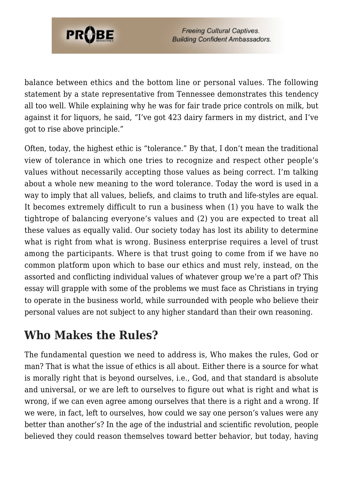

**Freeing Cultural Captives. Building Confident Ambassadors.** 

balance between ethics and the bottom line or personal values. The following statement by a state representative from Tennessee demonstrates this tendency all too well. While explaining why he was for fair trade price controls on milk, but against it for liquors, he said, "I've got 423 dairy farmers in my district, and I've got to rise above principle."

Often, today, the highest ethic is "tolerance." By that, I don't mean the traditional view of tolerance in which one tries to recognize and respect other people's values without necessarily accepting those values as being correct. I'm talking about a whole new meaning to the word tolerance. Today the word is used in a way to imply that all values, beliefs, and claims to truth and life-styles are equal. It becomes extremely difficult to run a business when (1) you have to walk the tightrope of balancing everyone's values and (2) you are expected to treat all these values as equally valid. Our society today has lost its ability to determine what is right from what is wrong. Business enterprise requires a level of trust among the participants. Where is that trust going to come from if we have no common platform upon which to base our ethics and must rely, instead, on the assorted and conflicting individual values of whatever group we're a part of? This essay will grapple with some of the problems we must face as Christians in trying to operate in the business world, while surrounded with people who believe their personal values are not subject to any higher standard than their own reasoning.

### **Who Makes the Rules?**

The fundamental question we need to address is, Who makes the rules, God or man? That is what the issue of ethics is all about. Either there is a source for what is morally right that is beyond ourselves, i.e., God, and that standard is absolute and universal, or we are left to ourselves to figure out what is right and what is wrong, if we can even agree among ourselves that there is a right and a wrong. If we were, in fact, left to ourselves, how could we say one person's values were any better than another's? In the age of the industrial and scientific revolution, people believed they could reason themselves toward better behavior, but today, having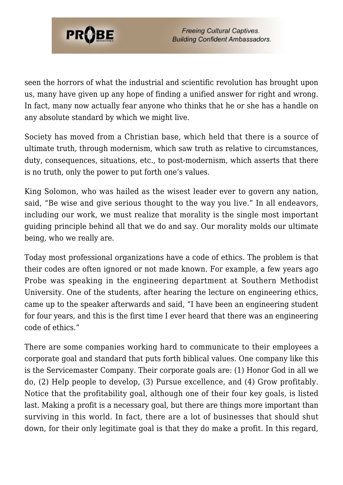

seen the horrors of what the industrial and scientific revolution has brought upon us, many have given up any hope of finding a unified answer for right and wrong. In fact, many now actually fear anyone who thinks that he or she has a handle on any absolute standard by which we might live.

Society has moved from a Christian base, which held that there is a source of ultimate truth, through modernism, which saw truth as relative to circumstances, duty, consequences, situations, etc., to post-modernism, which asserts that there is no truth, only the power to put forth one's values.

King Solomon, who was hailed as the wisest leader ever to govern any nation, said, "Be wise and give serious thought to the way you live." In all endeavors, including our work, we must realize that morality is the single most important guiding principle behind all that we do and say. Our morality molds our ultimate being, who we really are.

Today most professional organizations have a code of ethics. The problem is that their codes are often ignored or not made known. For example, a few years ago Probe was speaking in the engineering department at Southern Methodist University. One of the students, after hearing the lecture on engineering ethics, came up to the speaker afterwards and said, "I have been an engineering student for four years, and this is the first time I ever heard that there was an engineering code of ethics."

There are some companies working hard to communicate to their employees a corporate goal and standard that puts forth biblical values. One company like this is the Servicemaster Company. Their corporate goals are: (1) Honor God in all we do, (2) Help people to develop, (3) Pursue excellence, and (4) Grow profitably. Notice that the profitability goal, although one of their four key goals, is listed last. Making a profit is a necessary goal, but there are things more important than surviving in this world. In fact, there are a lot of businesses that should shut down, for their only legitimate goal is that they do make a profit. In this regard,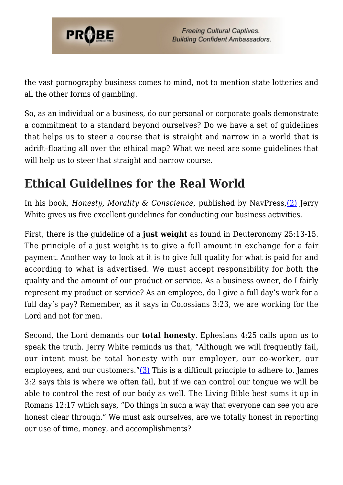

the vast pornography business comes to mind, not to mention state lotteries and all the other forms of gambling.

So, as an individual or a business, do our personal or corporate goals demonstrate a commitment to a standard beyond ourselves? Do we have a set of guidelines that helps us to steer a course that is straight and narrow in a world that is adrift–floating all over the ethical map? What we need are some guidelines that will help us to steer that straight and narrow course.

### **Ethical Guidelines for the Real World**

In his book, *Honesty, Morality & Conscience,* published by NavPress,[\(2\)](#page-8-0) Jerry White gives us five excellent guidelines for conducting our business activities.

First, there is the guideline of a **just weight** as found in Deuteronomy 25:13-15. The principle of a just weight is to give a full amount in exchange for a fair payment. Another way to look at it is to give full quality for what is paid for and according to what is advertised. We must accept responsibility for both the quality and the amount of our product or service. As a business owner, do I fairly represent my product or service? As an employee, do I give a full day's work for a full day's pay? Remember, as it says in Colossians 3:23, we are working for the Lord and not for men.

Second, the Lord demands our **total honesty**. Ephesians 4:25 calls upon us to speak the truth. Jerry White reminds us that, "Although we will frequently fail, our intent must be total honesty with our employer, our co-worker, our employees, and our customers." $(3)$  This is a difficult principle to adhere to. James 3:2 says this is where we often fail, but if we can control our tongue we will be able to control the rest of our body as well. The Living Bible best sums it up in Romans 12:17 which says, "Do things in such a way that everyone can see you are honest clear through." We must ask ourselves, are we totally honest in reporting our use of time, money, and accomplishments?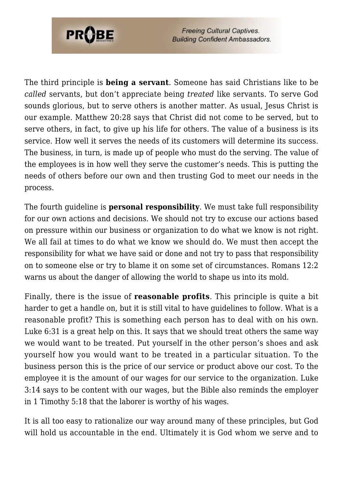

**Freeing Cultural Captives. Building Confident Ambassadors.** 

The third principle is **being a servant**. Someone has said Christians like to be *called* servants, but don't appreciate being *treated* like servants. To serve God sounds glorious, but to serve others is another matter. As usual, Jesus Christ is our example. Matthew 20:28 says that Christ did not come to be served, but to serve others, in fact, to give up his life for others. The value of a business is its service. How well it serves the needs of its customers will determine its success. The business, in turn, is made up of people who must do the serving. The value of the employees is in how well they serve the customer's needs. This is putting the needs of others before our own and then trusting God to meet our needs in the process.

The fourth guideline is **personal responsibility**. We must take full responsibility for our own actions and decisions. We should not try to excuse our actions based on pressure within our business or organization to do what we know is not right. We all fail at times to do what we know we should do. We must then accept the responsibility for what we have said or done and not try to pass that responsibility on to someone else or try to blame it on some set of circumstances. Romans 12:2 warns us about the danger of allowing the world to shape us into its mold.

Finally, there is the issue of **reasonable profits**. This principle is quite a bit harder to get a handle on, but it is still vital to have guidelines to follow. What is a reasonable profit? This is something each person has to deal with on his own. Luke 6:31 is a great help on this. It says that we should treat others the same way we would want to be treated. Put yourself in the other person's shoes and ask yourself how you would want to be treated in a particular situation. To the business person this is the price of our service or product above our cost. To the employee it is the amount of our wages for our service to the organization. Luke 3:14 says to be content with our wages, but the Bible also reminds the employer in 1 Timothy 5:18 that the laborer is worthy of his wages.

It is all too easy to rationalize our way around many of these principles, but God will hold us accountable in the end. Ultimately it is God whom we serve and to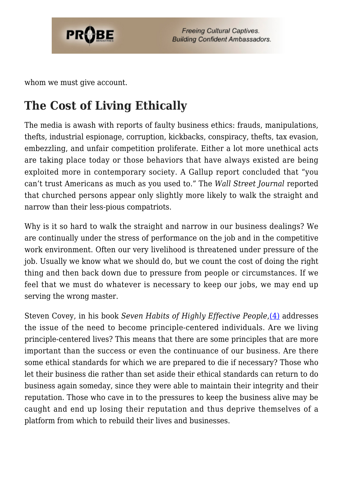

whom we must give account.

## **The Cost of Living Ethically**

The media is awash with reports of faulty business ethics: frauds, manipulations, thefts, industrial espionage, corruption, kickbacks, conspiracy, thefts, tax evasion, embezzling, and unfair competition proliferate. Either a lot more unethical acts are taking place today or those behaviors that have always existed are being exploited more in contemporary society. A Gallup report concluded that "you can't trust Americans as much as you used to." The *Wall Street Journal* reported that churched persons appear only slightly more likely to walk the straight and narrow than their less-pious compatriots.

Why is it so hard to walk the straight and narrow in our business dealings? We are continually under the stress of performance on the job and in the competitive work environment. Often our very livelihood is threatened under pressure of the job. Usually we know what we should do, but we count the cost of doing the right thing and then back down due to pressure from people or circumstances. If we feel that we must do whatever is necessary to keep our jobs, we may end up serving the wrong master.

Steven Covey, in his book *Seven Habits of Highly Effective People*,[\(4\)](#page-8-2) addresses the issue of the need to become principle-centered individuals. Are we living principle-centered lives? This means that there are some principles that are more important than the success or even the continuance of our business. Are there some ethical standards for which we are prepared to die if necessary? Those who let their business die rather than set aside their ethical standards can return to do business again someday, since they were able to maintain their integrity and their reputation. Those who cave in to the pressures to keep the business alive may be caught and end up losing their reputation and thus deprive themselves of a platform from which to rebuild their lives and businesses.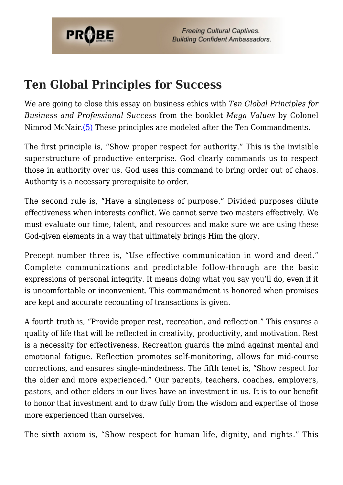

### **Ten Global Principles for Success**

We are going to close this essay on business ethics with *Ten Global Principles for Business and Professional Success* from the booklet *Mega Values* by Colonel Nimrod McNair.[\(5\)](#page-8-3) These principles are modeled after the Ten Commandments.

The first principle is, "Show proper respect for authority." This is the invisible superstructure of productive enterprise. God clearly commands us to respect those in authority over us. God uses this command to bring order out of chaos. Authority is a necessary prerequisite to order.

The second rule is, "Have a singleness of purpose." Divided purposes dilute effectiveness when interests conflict. We cannot serve two masters effectively. We must evaluate our time, talent, and resources and make sure we are using these God-given elements in a way that ultimately brings Him the glory.

Precept number three is, "Use effective communication in word and deed." Complete communications and predictable follow-through are the basic expressions of personal integrity. It means doing what you say you'll do, even if it is uncomfortable or inconvenient. This commandment is honored when promises are kept and accurate recounting of transactions is given.

A fourth truth is, "Provide proper rest, recreation, and reflection." This ensures a quality of life that will be reflected in creativity, productivity, and motivation. Rest is a necessity for effectiveness. Recreation guards the mind against mental and emotional fatigue. Reflection promotes self-monitoring, allows for mid-course corrections, and ensures single-mindedness. The fifth tenet is, "Show respect for the older and more experienced." Our parents, teachers, coaches, employers, pastors, and other elders in our lives have an investment in us. It is to our benefit to honor that investment and to draw fully from the wisdom and expertise of those more experienced than ourselves.

The sixth axiom is, "Show respect for human life, dignity, and rights." This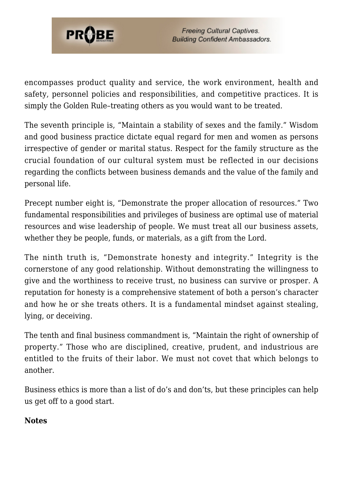

encompasses product quality and service, the work environment, health and safety, personnel policies and responsibilities, and competitive practices. It is simply the Golden Rule–treating others as you would want to be treated.

The seventh principle is, "Maintain a stability of sexes and the family." Wisdom and good business practice dictate equal regard for men and women as persons irrespective of gender or marital status. Respect for the family structure as the crucial foundation of our cultural system must be reflected in our decisions regarding the conflicts between business demands and the value of the family and personal life.

Precept number eight is, "Demonstrate the proper allocation of resources." Two fundamental responsibilities and privileges of business are optimal use of material resources and wise leadership of people. We must treat all our business assets, whether they be people, funds, or materials, as a gift from the Lord.

The ninth truth is, "Demonstrate honesty and integrity." Integrity is the cornerstone of any good relationship. Without demonstrating the willingness to give and the worthiness to receive trust, no business can survive or prosper. A reputation for honesty is a comprehensive statement of both a person's character and how he or she treats others. It is a fundamental mindset against stealing, lying, or deceiving.

The tenth and final business commandment is, "Maintain the right of ownership of property." Those who are disciplined, creative, prudent, and industrious are entitled to the fruits of their labor. We must not covet that which belongs to another.

Business ethics is more than a list of do's and don'ts, but these principles can help us get off to a good start.

#### <span id="page-7-0"></span>**Notes**